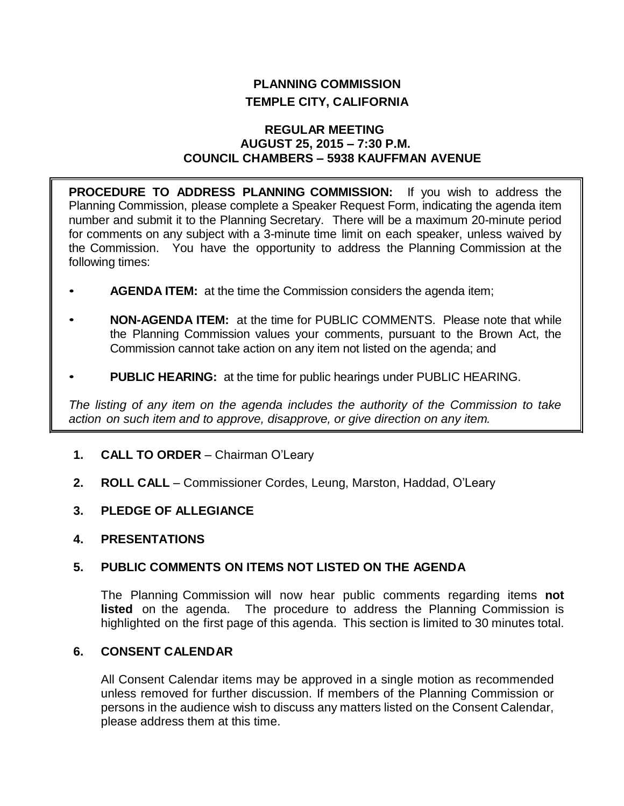# **PLANNING COMMISSION TEMPLE CITY, CALIFORNIA**

### **REGULAR MEETING AUGUST 25, 2015 – 7:30 P.M. COUNCIL CHAMBERS – 5938 KAUFFMAN AVENUE**

**PROCEDURE TO ADDRESS PLANNING COMMISSION:** If you wish to address the Planning Commission, please complete a Speaker Request Form, indicating the agenda item number and submit it to the Planning Secretary. There will be a maximum 20-minute period for comments on any subject with a 3-minute time limit on each speaker, unless waived by the Commission. You have the opportunity to address the Planning Commission at the following times:

- **AGENDA ITEM:** at the time the Commission considers the agenda item;
- **NON-AGENDA ITEM:** at the time for PUBLIC COMMENTS. Please note that while the Planning Commission values your comments, pursuant to the Brown Act, the Commission cannot take action on any item not listed on the agenda; and
- **PUBLIC HEARING:** at the time for public hearings under PUBLIC HEARING.

*The listing of any item on the agenda includes the authority of the Commission to take action on such item and to approve, disapprove, or give direction on any item.*

- **1. CALL TO ORDER**  Chairman O'Leary
- **2. ROLL CALL**  Commissioner Cordes, Leung, Marston, Haddad, O'Leary
- **3. PLEDGE OF ALLEGIANCE**
- **4. PRESENTATIONS**

## **5. PUBLIC COMMENTS ON ITEMS NOT LISTED ON THE AGENDA**

The Planning Commission will now hear public comments regarding items **not listed** on the agenda. The procedure to address the Planning Commission is highlighted on the first page of this agenda. This section is limited to 30 minutes total.

# **6. CONSENT CALENDAR**

All Consent Calendar items may be approved in a single motion as recommended unless removed for further discussion. If members of the Planning Commission or persons in the audience wish to discuss any matters listed on the Consent Calendar, please address them at this time.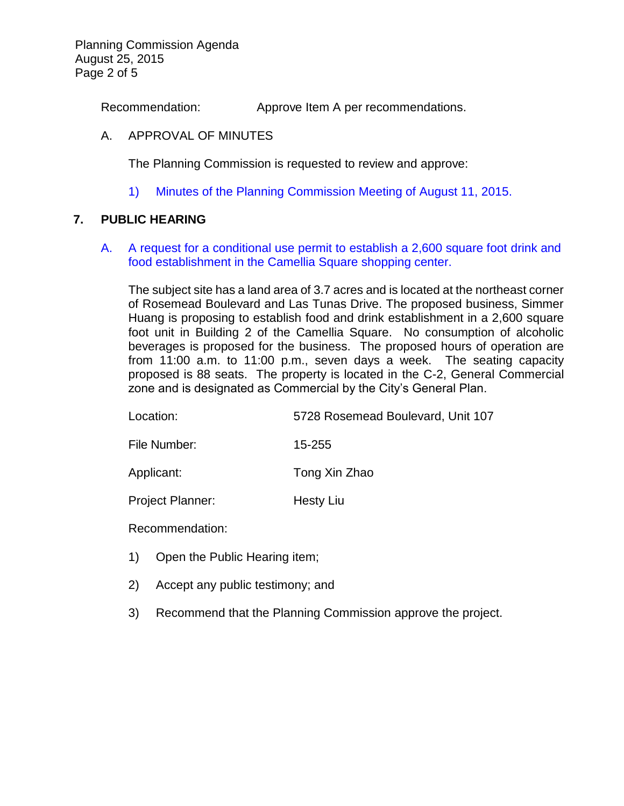Planning Commission Agenda August 25, 2015 Page 2 of 5

Recommendation: Approve Item A per recommendations.

### A. APPROVAL OF MINUTES

The Planning Commission is requested to review and approve:

1) Minutes of the [Planning Commission Meeting](http://ca-templecity.civicplus.com/DocumentCenter/View/4387) of August 11, 2015.

### **7. PUBLIC HEARING**

A. [A request for a conditional use permit to establish a 2,600 square foot drink and](http://ca-templecity.civicplus.com/DocumentCenter/View/4388)  [food establishment in the Camellia Square shopping center.](http://ca-templecity.civicplus.com/DocumentCenter/View/4388)

The subject site has a land area of 3.7 acres and is located at the northeast corner of Rosemead Boulevard and Las Tunas Drive. The proposed business, Simmer Huang is proposing to establish food and drink establishment in a 2,600 square foot unit in Building 2 of the Camellia Square. No consumption of alcoholic beverages is proposed for the business. The proposed hours of operation are from 11:00 a.m. to 11:00 p.m., seven days a week. The seating capacity proposed is 88 seats. The property is located in the C-2, General Commercial zone and is designated as Commercial by the City's General Plan.

Location: 5728 Rosemead Boulevard, Unit 107

File Number: 15-255

Applicant: Tong Xin Zhao

Project Planner: Hesty Liu

Recommendation:

- 1) Open the Public Hearing item;
- 2) Accept any public testimony; and
- 3) Recommend that the Planning Commission approve the project.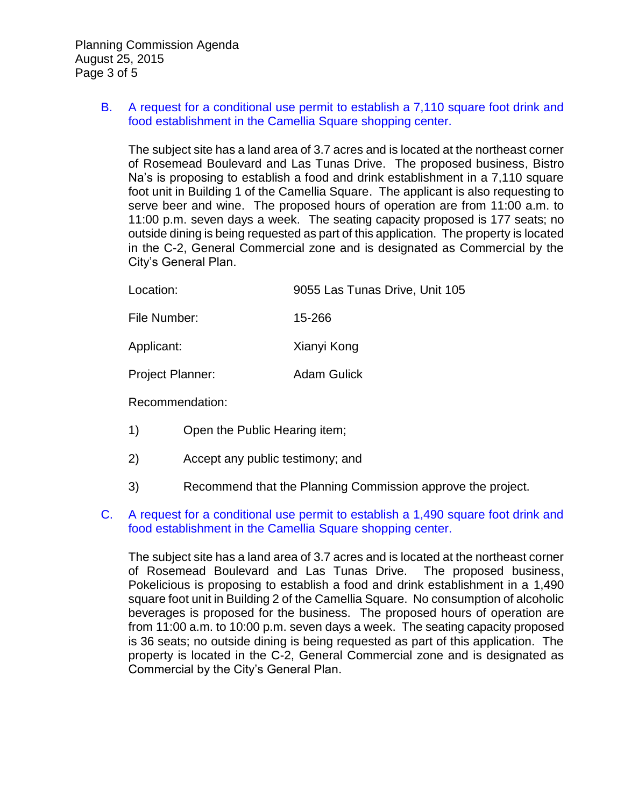Planning Commission Agenda August 25, 2015 Page 3 of 5

### B. [A request for a conditional use permit to establish a 7,110 square foot drink and](http://ca-templecity.civicplus.com/DocumentCenter/View/4389)  [food establishment in the Camellia Square shopping center.](http://ca-templecity.civicplus.com/DocumentCenter/View/4389)

The subject site has a land area of 3.7 acres and is located at the northeast corner of Rosemead Boulevard and Las Tunas Drive. The proposed business, Bistro Na's is proposing to establish a food and drink establishment in a 7,110 square foot unit in Building 1 of the Camellia Square. The applicant is also requesting to serve beer and wine. The proposed hours of operation are from 11:00 a.m. to 11:00 p.m. seven days a week. The seating capacity proposed is 177 seats; no outside dining is being requested as part of this application. The property is located in the C-2, General Commercial zone and is designated as Commercial by the City's General Plan.

| Location: | 9055 Las Tunas Drive, Unit 105 |
|-----------|--------------------------------|
|           |                                |

File Number: 15-266

Applicant: Xianyi Kong

Project Planner: Adam Gulick

Recommendation:

- 1) Open the Public Hearing item;
- 2) Accept any public testimony; and
- 3) Recommend that the Planning Commission approve the project.

#### C. [A request for a conditional use permit to establish a 1,490 square foot drink and](http://ca-templecity.civicplus.com/DocumentCenter/View/4390)  [food establishment in the Camellia Square shopping center.](http://ca-templecity.civicplus.com/DocumentCenter/View/4390)

The subject site has a land area of 3.7 acres and is located at the northeast corner of Rosemead Boulevard and Las Tunas Drive. The proposed business, Pokelicious is proposing to establish a food and drink establishment in a 1,490 square foot unit in Building 2 of the Camellia Square. No consumption of alcoholic beverages is proposed for the business. The proposed hours of operation are from 11:00 a.m. to 10:00 p.m. seven days a week. The seating capacity proposed is 36 seats; no outside dining is being requested as part of this application. The property is located in the C-2, General Commercial zone and is designated as Commercial by the City's General Plan.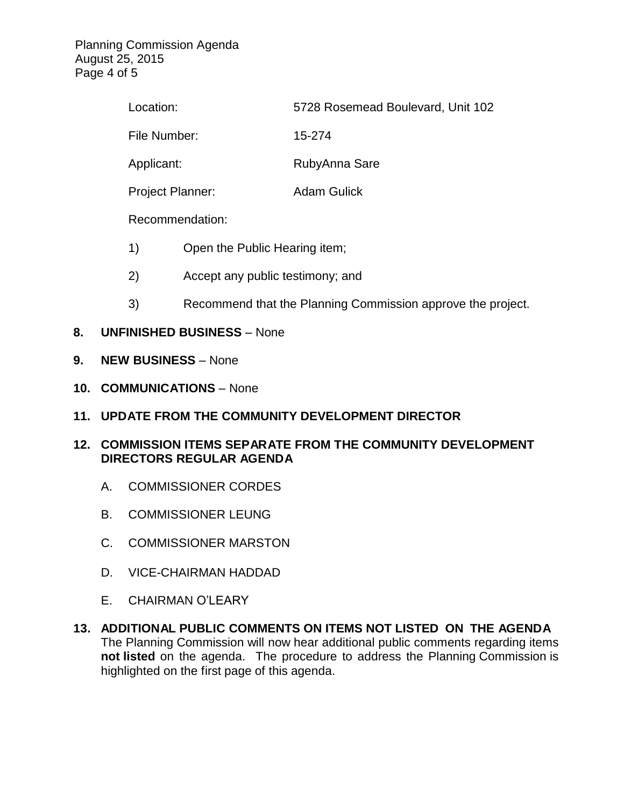Planning Commission Agenda August 25, 2015 Page 4 of 5

| Location:               |                               | 5728 Rosemead Boulevard, Unit 102 |  |  |
|-------------------------|-------------------------------|-----------------------------------|--|--|
| File Number:            |                               | 15-274                            |  |  |
| Applicant:              |                               | RubyAnna Sare                     |  |  |
| <b>Project Planner:</b> |                               | <b>Adam Gulick</b>                |  |  |
| Recommendation:         |                               |                                   |  |  |
| 1)                      | Open the Public Hearing item; |                                   |  |  |

- 2) Accept any public testimony; and
- 3) Recommend that the Planning Commission approve the project.
- **8. UNFINISHED BUSINESS** None
- **9. NEW BUSINESS** None
- **10. COMMUNICATIONS** None
- **11. UPDATE FROM THE COMMUNITY DEVELOPMENT DIRECTOR**
- **12. COMMISSION ITEMS SEPARATE FROM THE COMMUNITY DEVELOPMENT DIRECTORS REGULAR AGENDA**
	- A. COMMISSIONER CORDES
	- B. COMMISSIONER LEUNG
	- C. COMMISSIONER MARSTON
	- D. VICE-CHAIRMAN HADDAD
	- E. CHAIRMAN O'LEARY
- **13. ADDITIONAL PUBLIC COMMENTS ON ITEMS NOT LISTED ON THE AGENDA** The Planning Commission will now hear additional public comments regarding items **not listed** on the agenda. The procedure to address the Planning Commission is highlighted on the first page of this agenda.